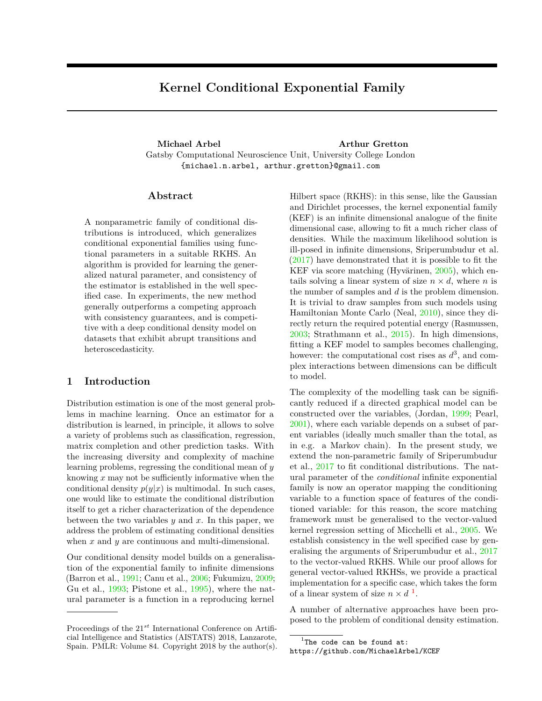# **Kernel Conditional Exponential Family**

**Michael Arbel Arthur Gretton** Gatsby Computational Neuroscience Unit, University College London {michael.n.arbel, arthur.gretton}@gmail.com

## **Abstract**

A nonparametric family of conditional distributions is introduced, which generalizes conditional exponential families using functional parameters in a suitable RKHS. An algorithm is provided for learning the generalized natural parameter, and consistency of the estimator is established in the well specified case. In experiments, the new method generally outperforms a competing approach with consistency guarantees, and is competitive with a deep conditional density model on datasets that exhibit abrupt transitions and heteroscedasticity.

# **1 Introduction**

Distribution estimation is one of the most general problems in machine learning. Once an estimator for a distribution is learned, in principle, it allows to solve a variety of problems such as classification, regression, matrix completion and other prediction tasks. With the increasing diversity and complexity of machine learning problems, regressing the conditional mean of *y* knowing *x* may not be sufficiently informative when the conditional density  $p(y|x)$  is multimodal. In such cases, one would like to estimate the conditional distribution itself to get a richer characterization of the dependence between the two variables *y* and *x*. In this paper, we address the problem of estimating conditional densities when *x* and *y* are continuous and multi-dimensional.

Our conditional density model builds on a generalisation of the exponential family to infinite dimensions (Barron et al., 1991; Canu et al., 2006; Fukumizu, 2009; Gu et al., 1993; Pistone et al., 1995), where the natural parameter is a function in a reproducing kernel

Hilbert space (RKHS): in this sense, like the Gaussian and Dirichlet processes, the kernel exponential family (KEF) is an infinite dimensional analogue of the finite dimensional case, allowing to fit a much richer class of densities. While the maximum likelihood solution is ill-posed in infinite dimensions, Sriperumbudur et al. (2017) have demonstrated that it is possible to fit the KEF via score matching (Hyvärinen, 2005), which entails solving a linear system of size  $n \times d$ , where *n* is the number of samples and *d* is the problem dimension. It is trivial to draw samples from such models using Hamiltonian Monte Carlo (Neal, 2010), since they directly return the required potential energy (Rasmussen, 2003; Strathmann et al., 2015). In high dimensions, fitting a KEF model to samples becomes challenging, however: the computational cost rises as  $d^3$ , and complex interactions between dimensions can be difficult to model.

The complexity of the modelling task can be significantly reduced if a directed graphical model can be constructed over the variables, (Jordan, 1999; Pearl, 2001), where each variable depends on a subset of parent variables (ideally much smaller than the total, as in e.g. a Markov chain). In the present study, we extend the non-parametric family of Sriperumbudur et al., 2017 to fit conditional distributions. The natural parameter of the *conditional* infinite exponential family is now an operator mapping the conditioning variable to a function space of features of the conditioned variable: for this reason, the score matching framework must be generalised to the vector-valued kernel regression setting of Micchelli et al., 2005. We establish consistency in the well specified case by generalising the arguments of Sriperumbudur et al., 2017 to the vector-valued RKHS. While our proof allows for general vector-valued RKHSs, we provide a practical implementation for a specific case, which takes the form of a linear system of size  $n \times d^{-1}$ .

A number of alternative approaches have been proposed to the problem of conditional density estimation.

Proceedings of the 21*st* International Conference on Artificial Intelligence and Statistics (AISTATS) 2018, Lanzarote, Spain. PMLR: Volume 84. Copyright 2018 by the author(s).

 $1$ The code can be found at:

https://github.com/MichaelArbel/KCEF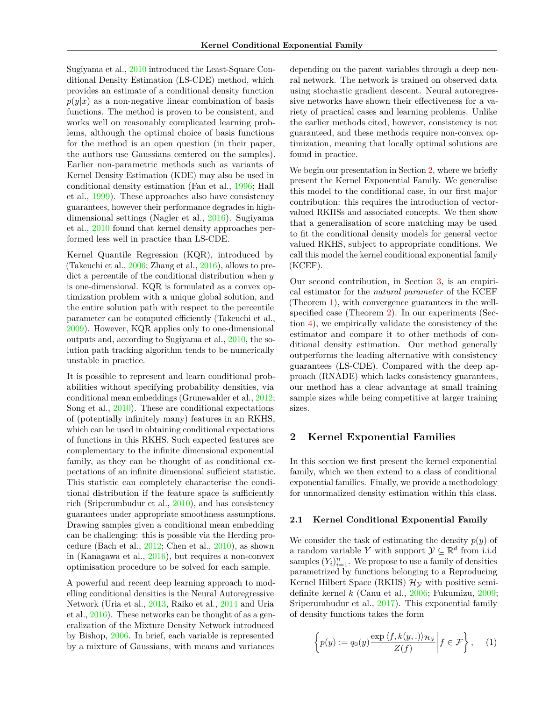Sugiyama et al., 2010 introduced the Least-Square Conditional Density Estimation (LS-CDE) method, which provides an estimate of a conditional density function  $p(y|x)$  as a non-negative linear combination of basis functions. The method is proven to be consistent, and works well on reasonably complicated learning problems, although the optimal choice of basis functions for the method is an open question (in their paper, the authors use Gaussians centered on the samples). Earlier non-parametric methods such as variants of Kernel Density Estimation (KDE) may also be used in conditional density estimation (Fan et al., 1996; Hall et al., 1999). These approaches also have consistency guarantees, however their performance degrades in highdimensional settings (Nagler et al., 2016). Sugiyama et al., 2010 found that kernel density approaches performed less well in practice than LS-CDE.

Kernel Quantile Regression (KQR), introduced by (Takeuchi et al., 2006; Zhang et al., 2016), allows to predict a percentile of the conditional distribution when *y* is one-dimensional. KQR is formulated as a convex optimization problem with a unique global solution, and the entire solution path with respect to the percentile parameter can be computed efficiently (Takeuchi et al., 2009). However, KQR applies only to one-dimensional outputs and, according to Sugiyama et al., 2010, the solution path tracking algorithm tends to be numerically unstable in practice.

It is possible to represent and learn conditional probabilities without specifying probability densities, via conditional mean embeddings (Grunewalder et al., 2012; Song et al., 2010). These are conditional expectations of (potentially infinitely many) features in an RKHS, which can be used in obtaining conditional expectations of functions in this RKHS. Such expected features are complementary to the infinite dimensional exponential family, as they can be thought of as conditional expectations of an infinite dimensional sufficient statistic. This statistic can completely characterise the conditional distribution if the feature space is sufficiently rich (Sriperumbudur et al., 2010), and has consistency guarantees under appropriate smoothness assumptions. Drawing samples given a conditional mean embedding can be challenging: this is possible via the Herding procedure (Bach et al., 2012; Chen et al., 2010), as shown in (Kanagawa et al., 2016), but requires a non-convex optimisation procedure to be solved for each sample.

A powerful and recent deep learning approach to modelling conditional densities is the Neural Autoregressive Network (Uria et al., 2013, Raiko et al., 2014 and Uria et al., 2016). These networks can be thought of as a generalization of the Mixture Density Network introduced by Bishop, 2006. In brief, each variable is represented by a mixture of Gaussians, with means and variances

depending on the parent variables through a deep neural network. The network is trained on observed data using stochastic gradient descent. Neural autoregressive networks have shown their effectiveness for a variety of practical cases and learning problems. Unlike the earlier methods cited, however, consistency is not guaranteed, and these methods require non-convex optimization, meaning that locally optimal solutions are found in practice.

We begin our presentation in Section 2, where we briefly present the Kernel Exponential Family. We generalise this model to the conditional case, in our first major contribution: this requires the introduction of vectorvalued RKHSs and associated concepts. We then show that a generalisation of score matching may be used to fit the conditional density models for general vector valued RKHS, subject to appropriate conditions. We call this model the kernel conditional exponential family (KCEF).

Our second contribution, in Section 3, is an empirical estimator for the *natural parameter* of the KCEF (Theorem 1), with convergence guarantees in the wellspecified case (Theorem 2). In our experiments (Section 4), we empirically validate the consistency of the estimator and compare it to other methods of conditional density estimation. Our method generally outperforms the leading alternative with consistency guarantees (LS-CDE). Compared with the deep approach (RNADE) which lacks consistency guarantees, our method has a clear advantage at small training sample sizes while being competitive at larger training sizes.

## **2 Kernel Exponential Families**

In this section we first present the kernel exponential family, which we then extend to a class of conditional exponential families. Finally, we provide a methodology for unnormalized density estimation within this class.

#### **2.1 Kernel Conditional Exponential Family**

We consider the task of estimating the density  $p(y)$  of a random variable *Y* with support  $\mathcal{Y} \subseteq \mathbb{R}^d$  from i.i.d samples  $(Y_i)_{i=1}^n$ . We propose to use a family of densities parametrized by functions belonging to a Reproducing Kernel Hilbert Space (RKHS)  $\mathcal{H}_{\gamma}$  with positive semidefinite kernel *k* (Canu et al., 2006; Fukumizu, 2009; Sriperumbudur et al., 2017). This exponential family of density functions takes the form

$$
\left\{ p(y) := q_0(y) \frac{\exp \langle f, k(y,.) \rangle_{\mathcal{H}_{\mathcal{Y}}}}{Z(f)} \middle| f \in \mathcal{F} \right\}, \quad (1)
$$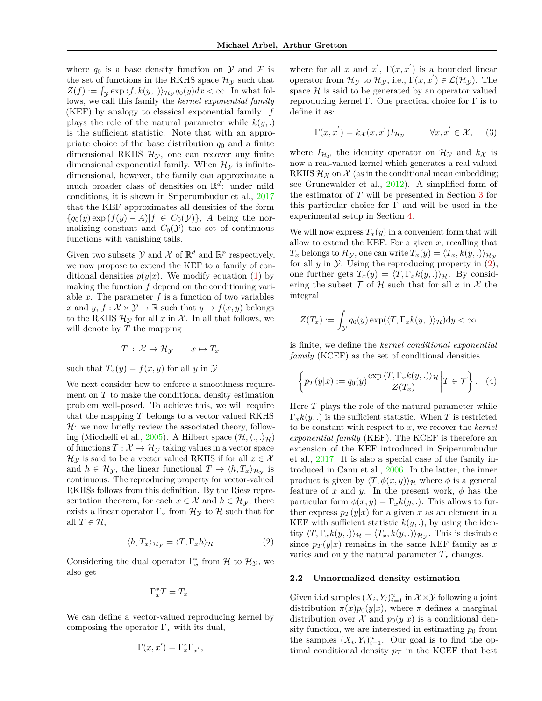where  $q_0$  is a base density function on  $\mathcal Y$  and  $\mathcal F$  is the set of functions in the RKHS space  $\mathcal{H}_{\mathcal{Y}}$  such that  $Z(f) := \int_{\mathcal{Y}} \exp \langle f, k(y,.) \rangle_{\mathcal{H}_{\mathcal{Y}}} q_0(y) dx < \infty$ . In what follows, we call this family the *kernel exponential family* (KEF) by analogy to classical exponential family. *f* plays the role of the natural parameter while  $k(y,.)$ is the sufficient statistic. Note that with an appropriate choice of the base distribution  $q_0$  and a finite dimensional RKHS  $\mathcal{H}_{y}$ , one can recover any finite dimensional exponential family. When  $\mathcal{H}_{\mathcal{Y}}$  is infinitedimensional, however, the family can approximate a much broader class of densities on R *d* : under mild conditions, it is shown in Sriperumbudur et al., 2017 that the KEF approximates all densities of the form  ${q_0(y) \exp (f(y) - A)|f \in C_0(\mathcal{Y})}$ , *A* being the normalizing constant and  $C_0(\mathcal{Y})$  the set of continuous functions with vanishing tails.

Given two subsets  $\mathcal Y$  and  $\mathcal X$  of  $\mathbb R^d$  and  $\mathbb R^p$  respectively, we now propose to extend the KEF to a family of conditional densities  $p(y|x)$ . We modify equation (1) by making the function *f* depend on the conditioning variable  $x$ . The parameter  $f$  is a function of two variables *x* and *y*,  $f: \mathcal{X} \times \mathcal{Y} \to \mathbb{R}$  such that  $y \mapsto f(x, y)$  belongs to the RKHS  $\mathcal{H}_{\mathcal{Y}}$  for all x in X. In all that follows, we will denote by *T* the mapping

$$
T: \mathcal{X} \to \mathcal{H}_{\mathcal{Y}} \qquad x \mapsto T_x
$$

such that  $T_x(y) = f(x, y)$  for all *y* in *y* 

We next consider how to enforce a smoothness requirement on *T* to make the conditional density estimation problem well-posed. To achieve this, we will require that the mapping *T* belongs to a vector valued RKHS  $H:$  we now briefly review the associated theory, following (Micchelli et al., 2005). A Hilbert space  $(\mathcal{H}, \langle ., .\rangle_{\mathcal{H}})$ of functions  $T: \mathcal{X} \to \mathcal{H}_{\mathcal{Y}}$  taking values in a vector space  $\mathcal{H}_{\mathcal{Y}}$  is said to be a vector valued RKHS if for all  $x \in \mathcal{X}$ and  $h \in \mathcal{H}_{\mathcal{Y}}$ , the linear functional  $T \mapsto \langle h, T_x \rangle_{\mathcal{H}_{\mathcal{Y}}}$  is continuous. The reproducing property for vector-valued RKHSs follows from this definition. By the Riesz representation theorem, for each  $x \in \mathcal{X}$  and  $h \in \mathcal{H}_{\mathcal{Y}}$ , there exists a linear operator  $\Gamma_x$  from  $\mathcal{H}_y$  to  $\mathcal{H}$  such that for all  $T \in \mathcal{H}$ ,

$$
\langle h, T_x \rangle_{\mathcal{H}_{\mathcal{Y}}} = \langle T, \Gamma_x h \rangle_{\mathcal{H}} \tag{2}
$$

Considering the dual operator  $\Gamma_x^*$  from  $\mathcal H$  to  $\mathcal H_{\mathcal Y}$ , we also get

$$
\Gamma_x^* T = T_x.
$$

We can define a vector-valued reproducing kernel by composing the operator  $\Gamma_x$  with its dual,

$$
\Gamma(x, x') = \Gamma_x^* \Gamma_{x'},
$$

where for all *x* and  $x'$ ,  $\Gamma(x, x')$  is a bounded linear operator from  $\mathcal{H}_{\mathcal{Y}}$  to  $\mathcal{H}_{\mathcal{Y}}$ , i.e.,  $\Gamma(x, x') \in \mathcal{L}(\mathcal{H}_{\mathcal{Y}})$ . The space  $\mathcal H$  is said to be generated by an operator valued reproducing kernel Γ. One practical choice for Γ is to define it as:

$$
\Gamma(x, x^{'}) = k_{\mathcal{X}}(x, x^{'}) I_{\mathcal{H}_{\mathcal{Y}}} \qquad \forall x, x^{'} \in \mathcal{X}, \quad (3)
$$

where  $I_{\mathcal{H}_{\mathcal{Y}}}$  the identity operator on  $\mathcal{H}_{\mathcal{Y}}$  and  $k_{\mathcal{X}}$  is now a real-valued kernel which generates a real valued RKHS  $\mathcal{H}_{\mathcal{X}}$  on  $\mathcal{X}$  (as in the conditional mean embedding; see Grunewalder et al., 2012). A simplified form of the estimator of *T* will be presented in Section 3 for this particular choice for  $\Gamma$  and will be used in the experimental setup in Section 4.

We will now express  $T_x(y)$  in a convenient form that will allow to extend the KEF. For a given *x*, recalling that  $T_x$  belongs to  $\mathcal{H}_y$ , one can write  $T_x(y) = \langle T_x, k(y,.) \rangle_{\mathcal{H}_y}$ for all  $y$  in  $\mathcal Y$ . Using the reproducing property in  $(2)$ , one further gets  $T_x(y) = \langle T, \Gamma_x k(y, \cdot) \rangle_{\mathcal{H}}$ . By considering the subset  $\mathcal T$  of  $\mathcal H$  such that for all  $x$  in  $\mathcal X$  the integral

$$
Z(T_x) := \int_{\mathcal{Y}} q_0(y) \exp(\langle T, \Gamma_x k(y,.) \rangle_{\mathcal{H}}) dy < \infty
$$

is finite, we define the *kernel conditional exponential family* (KCEF) as the set of conditional densities

$$
\left\{ p_T(y|x) := q_0(y) \frac{\exp \langle T, \Gamma_x k(y,.) \rangle_{\mathcal{H}}}{Z(T_x)} \middle| T \in \mathcal{T} \right\}.
$$
 (4)

Here *T* plays the role of the natural parameter while  $\Gamma_x k(y,.)$  is the sufficient statistic. When *T* is restricted to be constant with respect to *x*, we recover the *kernel exponential family* (KEF). The KCEF is therefore an extension of the KEF introduced in Sriperumbudur et al., 2017. It is also a special case of the family introduced in Canu et al., 2006. In the latter, the inner product is given by  $\langle T, \phi(x, y) \rangle_{\mathcal{H}}$  where  $\phi$  is a general feature of  $x$  and  $y$ . In the present work,  $\phi$  has the particular form  $\phi(x, y) = \Gamma_x k(y, \cdot)$ . This allows to further express  $p_T(y|x)$  for a given x as an element in a KEF with sufficient statistic  $k(y, \cdot)$ , by using the identity  $\langle T, \Gamma_x k(y,.) \rangle_{\mathcal{H}} = \langle T_x, k(y,.) \rangle_{\mathcal{H}_{\mathcal{Y}}}$ . This is desirable since  $p_T(y|x)$  remains in the same KEF family as x varies and only the natural parameter  $T_x$  changes.

#### **2.2 Unnormalized density estimation**

Given i.i.d samples  $(X_i, Y_i)_{i=1}^n$  in  $\mathcal{X} \times \mathcal{Y}$  following a joint distribution  $\pi(x)p_0(y|x)$ , where  $\pi$  defines a marginal distribution over  $\mathcal X$  and  $p_0(y|x)$  is a conditional density function, we are interested in estimating  $p_0$  from the samples  $(X_i, Y_i)_{i=1}^n$ . Our goal is to find the optimal conditional density  $p_T$  in the KCEF that best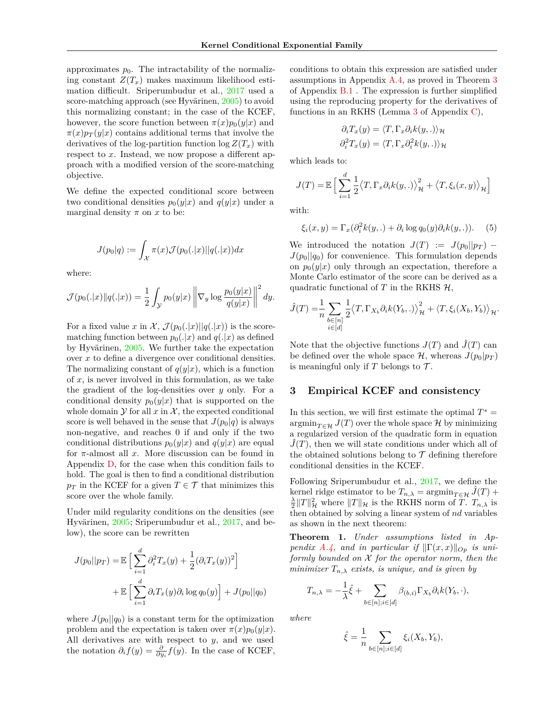approximates  $p_0$ . The intractability of the normalizing constant  $Z(T_x)$  makes maximum likelihood estimation difficult. Sriperumbudur et al., 2017 used a score-matching approach (see Hyvärinen, 2005) to avoid this normalizing constant; in the case of the KCEF, however, the score function between  $\pi(x)p_0(y|x)$  and  $\pi(x)p_T(y|x)$  contains additional terms that involve the derivatives of the log-partition function  $\log Z(T_x)$  with respect to *x*. Instead, we now propose a different approach with a modified version of the score-matching objective.

We define the expected conditional score between two conditional densities  $p_0(y|x)$  and  $q(y|x)$  under a marginal density  $\pi$  on  $x$  to be:

$$
J(p_0|q) := \int_{\mathcal{X}} \pi(x) \mathcal{J}(p_0(.|x)||q(.|x)) dx
$$

where:

$$
\mathcal{J}(p_0(.|x)||q(.|x)) = \frac{1}{2} \int_{\mathcal{Y}} p_0(y|x) \left\| \nabla_y \log \frac{p_0(y|x)}{q(y|x)} \right\|^2 dy.
$$

For a fixed value x in X,  $\mathcal{J}(p_0(.|x)||q(.|x))$  is the scorematching function between  $p_0(.|x)$  and  $q(.|x)$  as defined by Hyvärinen, 2005. We further take the expectation over *x* to define a divergence over conditional densities. The normalizing constant of  $q(y|x)$ , which is a function of *x*, is never involved in this formulation, as we take the gradient of the log-densities over *y* only. For a conditional density  $p_0(y|x)$  that is supported on the whole domain  $\mathcal Y$  for all  $x$  in  $\mathcal X$ , the expected conditional score is well behaved in the sense that  $J(p_0|q)$  is always non-negative, and reaches 0 if and only if the two conditional distributions  $p_0(y|x)$  and  $q(y|x)$  are equal for *π*-almost all *x*. More discussion can be found in Appendix D, for the case when this condition fails to hold. The goal is then to find a conditional distribution  $p_T$  in the KCEF for a given  $T \in \mathcal{T}$  that minimizes this score over the whole family.

Under mild regularity conditions on the densities (see Hyvärinen, 2005; Sriperumbudur et al., 2017, and below), the score can be rewritten

$$
J(p_0||p_T) = \mathbb{E}\left[\sum_{i=1}^d \partial_i^2 T_x(y) + \frac{1}{2}(\partial_i T_x(y))^2\right]
$$

$$
+ \mathbb{E}\left[\sum_{i=1}^d \partial_i T_x(y)\partial_i \log q_0(y)\right] + J(p_0||q_0)
$$

where  $J(p_0||q_0)$  is a constant term for the optimization problem and the expectation is taken over  $\pi(x)p_0(y|x)$ . All derivatives are with respect to *y*, and we used the notation  $\partial_i f(y) = \frac{\partial}{\partial y_i} f(y)$ . In the case of KCEF,

conditions to obtain this expression are satisfied under assumptions in Appendix A.4, as proved in Theorem 3 of Appendix B.1 . The expression is further simplified using the reproducing property for the derivatives of functions in an RKHS (Lemma 3 of Appendix C),

$$
\partial_i T_x(y) = \langle T, \Gamma_x \partial_i k(y,.) \rangle_{\mathcal{H}}
$$

$$
\partial_i^2 T_x(y) = \langle T, \Gamma_x \partial_i^2 k(y,.) \rangle_{\mathcal{H}}
$$

which leads to:

$$
J(T) = \mathbb{E}\left[\sum_{i=1}^{d} \frac{1}{2} \langle T, \Gamma_x \partial_i k(y,.) \rangle_{\mathcal{H}}^2 + \langle T, \xi_i(x, y) \rangle_{\mathcal{H}}\right]
$$

with:

$$
\xi_i(x, y) = \Gamma_x(\partial_i^2 k(y,.) + \partial_i \log q_0(y)\partial_i k(y,.)). \tag{5}
$$

We introduced the notation  $J(T) := J(p_0||p_T)$  –  $J(p_0||q_0)$  for convenience. This formulation depends on  $p_0(y|x)$  only through an expectation, therefore a Monte Carlo estimator of the score can be derived as a quadratic functional of  $T$  in the RKHS  $H$ ,

$$
\hat{J}(T) = \frac{1}{n} \sum_{\substack{b \in [n] \\ i \in [d]}} \frac{1}{2} \langle T, \Gamma_{X_b} \partial_i k(Y_b,.) \rangle_{\mathcal{H}}^2 + \langle T, \xi_i(X_b, Y_b) \rangle_{\mathcal{H}}.
$$

Note that the objective functions  $J(T)$  and  $\hat{J}(T)$  can be defined over the whole space  $\mathcal{H}$ , whereas  $J(p_0|p_T)$ is meaningful only if  $T$  belongs to  $\mathcal{T}$ .

# **3 Empirical KCEF and consistency**

In this section, we will first estimate the optimal  $T^* =$  $\operatorname{argmin}_{T \in \mathcal{H}} J(T)$  over the whole space  $\mathcal{H}$  by minimizing a regularized version of the quadratic form in equation  $J(T)$ , then we will state conditions under which all of the obtained solutions belong to  $\mathcal T$  defining therefore conditional densities in the KCEF.

Following Sriperumbudur et al., 2017, we define the kernel ridge estimator to be  $T_{n,\lambda} = \operatorname{argmin}_{T \in \mathcal{H}} \hat{J}(T) +$  $\frac{\lambda}{2} \|T\|_{\mathcal{H}}^2$  where  $\|T\|_{\mathcal{H}}$  is the RKHS norm of *T*.  $T_{n,\lambda}$  is then obtained by solving a linear system of *nd* variables as shown in the next theorem:

**Theorem 1.** *Under assumptions listed in Appendix A.4, and in particular if*  $\|\Gamma(x, x)\|_{Op}$  *is uniformly bounded on* X *for the operator norm, then the minimizer*  $T_{n,\lambda}$  *exists, is unique, and is given by* 

$$
T_{n,\lambda} = -\frac{1}{\lambda}\hat{\xi} + \sum_{b \in [n]; i \in [d]} \beta_{(b,i)} \Gamma_{X_b} \partial_i k(Y_b, \cdot),
$$

*where*

$$
\hat{\xi} = \frac{1}{n} \sum_{b \in [n]; i \in [d]} \xi_i(X_b, Y_b),
$$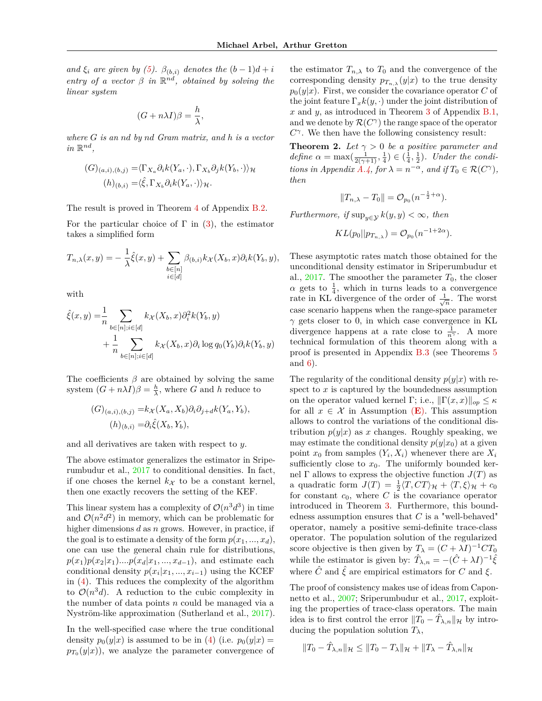*and*  $\xi_i$  *are given by* (5).  $\beta_{(b,i)}$  *denotes the*  $(b-1)d+i$ *entry of a vector*  $\beta$  *in*  $\mathbb{R}^{nd}$ *, obtained by solving the linear system*

$$
(G + n\lambda I)\beta = \frac{h}{\lambda}
$$

*,*

*where G is an nd by nd Gram matrix, and h is a vector*  $in \mathbb{R}^{nd}$ ,

$$
(G)_{(a,i),(b,j)} = \langle \Gamma_{X_a} \partial_i k(Y_a, \cdot), \Gamma_{X_b} \partial_j k(Y_b, \cdot) \rangle_{\mathcal{H}}
$$

$$
(h)_{(b,i)} = \langle \hat{\xi}, \Gamma_{X_b} \partial_i k(Y_a, \cdot) \rangle_{\mathcal{H}}.
$$

The result is proved in Theorem 4 of Appendix B.2.

For the particular choice of  $\Gamma$  in (3), the estimator takes a simplified form

$$
T_{n,\lambda}(x,y) = -\frac{1}{\lambda}\hat{\xi}(x,y) + \sum_{\substack{b \in [n] \\ i \in [d]}} \beta_{(b,i)} k_{\mathcal{X}}(X_b, x) \partial_i k(Y_b, y),
$$

with

$$
\hat{\xi}(x,y) = \frac{1}{n} \sum_{b \in [n]; i \in [d]} k_{\mathcal{X}}(X_b, x) \partial_i^2 k(Y_b, y)
$$
  
+ 
$$
\frac{1}{n} \sum_{b \in [n]; i \in [d]} k_{\mathcal{X}}(X_b, x) \partial_i \log q_0(Y_b) \partial_i k(Y_b, y)
$$

The coefficients  $\beta$  are obtained by solving the same system  $(G + n\lambda I)\beta = \frac{h}{\lambda}$ , where *G* and *h* reduce to

$$
(G)_{(a,i),(b,j)} = k_{\mathcal{X}}(X_a, X_b)\partial_i\partial_{j+d}k(Y_a, Y_b),
$$
  

$$
(h)_{(b,i)} = \partial_i \hat{\xi}(X_b, Y_b),
$$

and all derivatives are taken with respect to *y*.

The above estimator generalizes the estimator in Sriperumbudur et al., 2017 to conditional densities. In fact, if one choses the kernel  $k_X$  to be a constant kernel, then one exactly recovers the setting of the KEF.

This linear system has a complexity of  $\mathcal{O}(n^3 d^3)$  in time and  $\mathcal{O}(n^2d^2)$  in memory, which can be problematic for higher dimensions *d* as *n* grows. However, in practice, if the goal is to estimate a density of the form  $p(x_1, ..., x_d)$ , one can use the general chain rule for distributions,  $p(x_1)p(x_2|x_1)$ *....* $p(x_d|x_1, ..., x_{d-1})$ , and estimate each conditional density  $p(x_i|x_1, ..., x_{i-1})$  using the KCEF in (4). This reduces the complexity of the algorithm to  $\mathcal{O}(n^3d)$ . A reduction to the cubic complexity in the number of data points *n* could be managed via a Nyström-like approximation (Sutherland et al., 2017).

In the well-specified case where the true conditional density  $p_0(y|x)$  is assumed to be in (4) (i.e.  $p_0(y|x) =$  $p_{T_0}(y|x)$ , we analyze the parameter convergence of

the estimator  $T_{n,\lambda}$  to  $T_0$  and the convergence of the corresponding density  $p_{T_{n,\lambda}}(y|x)$  to the true density  $p_0(y|x)$ . First, we consider the covariance operator *C* of the joint feature  $\Gamma_x k(y, \cdot)$  under the joint distribution of *x* and *y*, as introduced in Theorem 3 of Appendix B.1, and we denote by  $\mathcal{R}(C^{\gamma})$  the range space of the operator *C γ* . We then have the following consistency result:

**Theorem 2.** *Let*  $\gamma > 0$  *be a positive parameter and define*  $\alpha = \max(\frac{1}{2(\gamma+1)}, \frac{1}{4}) \in (\frac{1}{4}, \frac{1}{2})$ *. Under the conditions in Appendix A.4, for*  $\lambda = n^{-\alpha}$ *, and if*  $T_0 \in \mathcal{R}(C^{\gamma})$ *, then*

$$
||T_{n,\lambda} - T_0|| = \mathcal{O}_{p_0}(n^{-\frac{1}{2} + \alpha}).
$$

*Furthermore, if*  $\sup_{y \in \mathcal{Y}} k(y, y) < \infty$ *, then* 

$$
KL(p_0||p_{T_{n,\lambda}}) = \mathcal{O}_{p_0}(n^{-1+2\alpha}).
$$

These asymptotic rates match those obtained for the unconditional density estimator in Sriperumbudur et al.,  $2017$ . The smoother the parameter  $T_0$ , the closer  $\alpha$  gets to  $\frac{1}{4}$ , which in turns leads to a convergence rate in KL divergence of the order of  $\frac{1}{\sqrt{2}}$  $\frac{1}{n}$ . The worst case scenario happens when the range-space parameter *γ* gets closer to 0, in which case convergence in KL divergence happens at a rate close to  $\frac{1}{n^{\gamma}}$ . A more technical formulation of this theorem along with a proof is presented in Appendix B.3 (see Theorems 5 and 6).

The regularity of the conditional density  $p(y|x)$  with respect to *x* is captured by the boundedness assumption on the operator valued kernel Γ; i.e.,  $\|\Gamma(x, x)\|_{op} \leq \kappa$ for all  $x \in \mathcal{X}$  in Assumption  $(E)$ . This assumption allows to control the variations of the conditional distribution  $p(y|x)$  as x changes. Roughly speaking, we may estimate the conditional density  $p(y|x_0)$  at a given point  $x_0$  from samples  $(Y_i, X_i)$  whenever there are  $X_i$ sufficiently close to  $x_0$ . The uniformly bounded kernel  $\Gamma$  allows to express the objective function  $J(T)$  as a quadratic form  $J(T) = \frac{1}{2} \langle T, CT \rangle_H + \langle T, \xi \rangle_H + c_0$ for constant  $c_0$ , where  $C$  is the covariance operator introduced in Theorem 3. Furthermore, this boundedness assumption ensures that *C* is a "well-behaved" operator, namely a positive semi-definite trace-class operator. The population solution of the regularized score objective is then given by  $T_{\lambda} = (C + \lambda I)^{-1} C T_0$ while the estimator is given by:  $\hat{T}_{\lambda,n} = -(\hat{C} + \lambda I)^{-1} \hat{\xi}$ where  $\hat{C}$  and  $\hat{\xi}$  are empirical estimators for  $C$  and  $\xi$ .

The proof of consistency makes use of ideas from Caponnetto et al., 2007; Sriperumbudur et al., 2017, exploiting the properties of trace-class operators. The main idea is to first control the error  $\|\hat{T}_0 - \hat{T}_{\lambda,n}\|_{\mathcal{H}}$  by introducing the population solution  $T_{\lambda}$ ,

$$
||T_0 - \hat{T}_{\lambda,n}||_{\mathcal{H}} \le ||T_0 - T_{\lambda}||_{\mathcal{H}} + ||T_{\lambda} - \hat{T}_{\lambda,n}||_{\mathcal{H}}
$$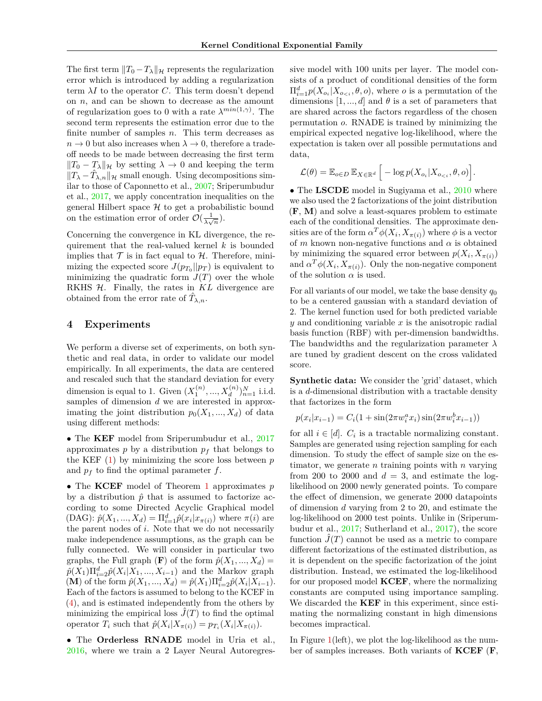The first term  $||T_0 - T_\lambda||_{\mathcal{H}}$  represents the regularization error which is introduced by adding a regularization term *λI* to the operator *C*. This term doesn't depend on *n*, and can be shown to decrease as the amount of regularization goes to 0 with a rate  $\lambda^{min(1,\gamma)}$ . The second term represents the estimation error due to the finite number of samples *n*. This term decreases as  $n \to 0$  but also increases when  $\lambda \to 0$ , therefore a tradeoff needs to be made between decreasing the first term  $||T_0 - T_\lambda||_{\mathcal{H}}$  by setting  $\lambda \to 0$  and keeping the term  $||T_{\lambda} - \hat{T}_{\lambda,n}||_{\mathcal{H}}$  small enough. Using decompositions similar to those of Caponnetto et al., 2007; Sriperumbudur et al., 2017, we apply concentration inequalities on the general Hilbert space  $\mathcal H$  to get a probabilistic bound on the estimation error of order  $\mathcal{O}(\frac{1}{\lambda \sqrt{N}})$  $\frac{1}{\lambda\sqrt{n}}$ ).

Concerning the convergence in KL divergence, the requirement that the real-valued kernel *k* is bounded implies that  $\mathcal T$  is in fact equal to  $\mathcal H$ . Therefore, minimizing the expected score  $J(p_{T_0}||p_T)$  is equivalent to minimizing the quadratic form  $J(T)$  over the whole RKHS H. Finally, the rates in KL divergence are obtained from the error rate of  $\hat{T}_{\lambda,n}$ .

## **4 Experiments**

We perform a diverse set of experiments, on both synthetic and real data, in order to validate our model empirically. In all experiments, the data are centered and rescaled such that the standard deviation for every dimension is equal to 1. Given  $(X_1^{(n)},...,X_d^{(n)})_{n=1}^N$  i.i.d. samples of dimension *d* we are interested in approximating the joint distribution  $p_0(X_1, ..., X_d)$  of data using different methods:

• The **KEF** model from Sriperumbudur et al., 2017 approximates  $p$  by a distribution  $p_f$  that belongs to the KEF (1) by minimizing the score loss between *p* and  $p_f$  to find the optimal parameter  $f$ .

• The **KCEF** model of Theorem 1 approximates *p* by a distribution  $\hat{p}$  that is assumed to factorize according to some Directed Acyclic Graphical model  $(DAG): \hat{p}(X_1, ..., X_d) = \Pi_{i=1}^d \hat{p}(x_i | x_{\pi(i)})$  where  $\pi(i)$  are the parent nodes of *i*. Note that we do not necessarily make independence assumptions, as the graph can be fully connected. We will consider in particular two graphs, the Full graph  $(\mathbf{F})$  of the form  $\hat{p}(X_1, ..., X_d)$  =  $\hat{p}(X_1) \Pi_{i=2}^d \hat{p}(X_i | X_1, ..., X_{i-1})$  and the Markov graph  $(\mathbf{M})$  of the form  $\hat{p}(X_1, ..., X_d) = \hat{p}(X_1) \prod_{i=2}^d \hat{p}(X_i | X_{i-1}).$ Each of the factors is assumed to belong to the KCEF in (4), and is estimated independently from the others by minimizing the empirical loss  $\hat{J}(T)$  to find the optimal operator  $T_i$  such that  $\hat{p}(X_i|X_{\pi(i)}) = p_{T_i}(X_i|X_{\pi(i)})$ .

• The **Orderless RNADE** model in Uria et al., 2016, where we train a 2 Layer Neural Autoregres-

sive model with 100 units per layer. The model consists of a product of conditional densities of the form  $\Pi_{i=1}^d p(X_{o_i}|X_{o_{i}}, \theta, o)$ , where *o* is a permutation of the dimensions  $[1, ..., d]$  and  $\theta$  is a set of parameters that are shared across the factors regardless of the chosen permutation *o*. RNADE is trained by minimizing the empirical expected negative log-likelihood, where the expectation is taken over all possible permutations and data,

$$
\mathcal{L}(\theta) = \mathbb{E}_{o \in D} \mathbb{E}_{X \in \mathbb{R}^d} \Big[ -\log p(X_{o_i} | X_{o_{&i}}, \theta, o) \Big].
$$

• The **LSCDE** model in Sugiyama et al., 2010 where we also used the 2 factorizations of the joint distribution (**F**, **M**) and solve a least-squares problem to estimate each of the conditional densities. The approximate densities are of the form  $\alpha^T \phi(X_i, X_{\pi(i)})$  where  $\phi$  is a vector of *m* known non-negative functions and *α* is obtained by minimizing the squared error between  $p(X_i, X_{\pi(i)})$ and  $\alpha^T \phi(X_i, X_{\pi(i)})$ . Only the non-negative component of the solution  $\alpha$  is used.

For all variants of our model, we take the base density *q*<sup>0</sup> to be a centered gaussian with a standard deviation of 2. The kernel function used for both predicted variable *y* and conditioning variable *x* is the anisotropic radial basis function (RBF) with per-dimension bandwidths. The bandwidths and the regularization parameter *λ* are tuned by gradient descent on the cross validated score.

**Synthetic data:** We consider the 'grid' dataset, which is a *d*-dimensional distribution with a tractable density that factorizes in the form

$$
p(x_i|x_{i-1}) = C_i(1 + \sin(2\pi w_i^a x_i)\sin(2\pi w_i^b x_{i-1}))
$$

for all  $i \in [d]$ .  $C_i$  is a tractable normalizing constant. Samples are generated using rejection sampling for each dimension. To study the effect of sample size on the estimator, we generate *n* training points with *n* varying from 200 to 2000 and  $d = 3$ , and estimate the loglikelihood on 2000 newly generated points. To compare the effect of dimension, we generate 2000 datapoints of dimension *d* varying from 2 to 20, and estimate the log-likelihood on 2000 test points. Unlike in (Sriperumbudur et al., 2017; Sutherland et al., 2017), the score function  $\tilde{J}(T)$  cannot be used as a metric to compare different factorizations of the estimated distribution, as it is dependent on the specific factorization of the joint distribution. Instead, we estimated the log-likelihood for our proposed model **KCEF**, where the normalizing constants are computed using importance sampling. We discarded the **KEF** in this experiment, since estimating the normalizing constant in high dimensions becomes impractical.

In Figure 1(left), we plot the log-likelihood as the number of samples increases. Both variants of **KCEF** (**F**,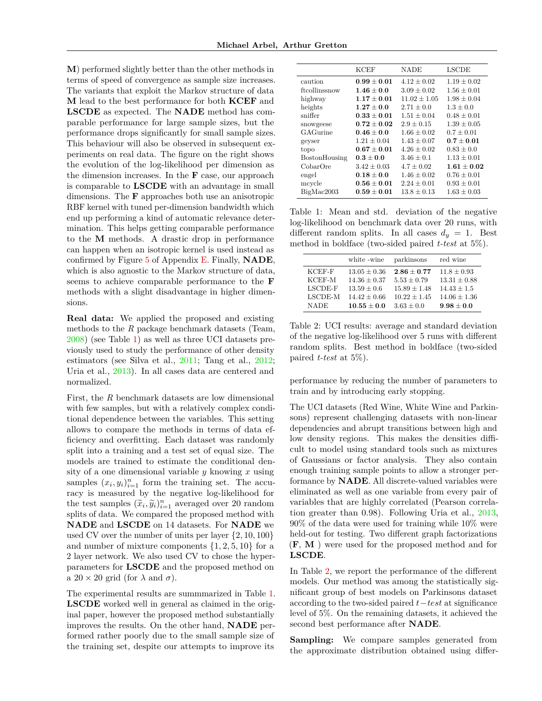**M**) performed slightly better than the other methods in terms of speed of convergence as sample size increases. The variants that exploit the Markov structure of data **M** lead to the best performance for both **KCEF** and **LSCDE** as expected. The **NADE** method has comparable performance for large sample sizes, but the performance drops significantly for small sample sizes. This behaviour will also be observed in subsequent experiments on real data. The figure on the right shows the evolution of the log-likelihood per dimension as the dimension increases. In the **F** case, our approach is comparable to **LSCDE** with an advantage in small dimensions. The **F** approaches both use an anisotropic RBF kernel with tuned per-dimension bandwidth which end up performing a kind of automatic relevance determination. This helps getting comparable performance to the **M** methods. A drastic drop in performance can happen when an isotropic kernel is used instead as confirmed by Figure 5 of Appendix E. Finally, **NADE**, which is also agnostic to the Markov structure of data, seems to achieve comparable performance to the **F** methods with a slight disadvantage in higher dimensions.

**Real data:** We applied the proposed and existing methods to the *R* package benchmark datasets (Team, 2008) (see Table 1) as well as three UCI datasets previously used to study the performance of other density estimators (see Silva et al., 2011; Tang et al., 2012; Uria et al., 2013). In all cases data are centered and normalized.

First, the *R* benchmark datasets are low dimensional with few samples, but with a relatively complex conditional dependence between the variables. This setting allows to compare the methods in terms of data efficiency and overfitting. Each dataset was randomly split into a training and a test set of equal size. The models are trained to estimate the conditional density of a one dimensional variable *y* knowing *x* using samples  $(x_i, y_i)_{i=1}^n$  form the training set. The accuracy is measured by the negative log-likelihood for the test samples  $(\widetilde{x}_i, \widetilde{y}_i)_{i=1}^n$  averaged over 20 random splits of data. We compared the proposed method with **NADE** and **LSCDE** on 14 datasets. For **NADE** we used CV over the number of units per layer {2*,* 10*,* 100} and number of mixture components  $\{1, 2, 5, 10\}$  for a 2 layer network. We also used CV to chose the hyperparameters for **LSCDE** and the proposed method on a  $20 \times 20$  grid (for  $\lambda$  and  $\sigma$ ).

The experimental results are summmarized in Table 1. **LSCDE** worked well in general as claimed in the original paper, however the proposed method substantially improves the results. On the other hand, **NADE** performed rather poorly due to the small sample size of the training set, despite our attempts to improve its

|               | <b>KCEF</b>     | <b>NADE</b>      | <b>LSCDE</b>    |
|---------------|-----------------|------------------|-----------------|
| caution       | $0.99 + 0.01$   | $4.12 + 0.02$    | $1.19 \pm 0.02$ |
| ftcollinssnow | $1.46 + 0.0$    | $3.09 + 0.02$    | $1.56 + 0.01$   |
| highway       | $1.17\pm0.01$   | $11.02 \pm 1.05$ | $1.98 \pm 0.04$ |
| heights       | $1.27 + 0.0$    | $2.71 + 0.0$     | $1.3 + 0.0$     |
| sniffer       | $0.33 + 0.01$   | $1.51 + 0.04$    | $0.48 \pm 0.01$ |
| snowgeese     | $0.72 + 0.02$   | $2.9 \pm 0.15$   | $1.39 \pm 0.05$ |
| GAGurine      | $0.46 + 0.0$    | $1.66 + 0.02$    | $0.7 + 0.01$    |
| geyser        | $1.21 \pm 0.04$ | $1.43 + 0.07$    | $0.7 + 0.01$    |
| topo          | $0.67 \pm 0.01$ | $4.26 + 0.02$    | $0.83 \pm 0.0$  |
| BostonHousing | $0.3 \pm 0.0$   | $3.46 \pm 0.1$   | $1.13 \pm 0.01$ |
| CobarOre      | $3.42 \pm 0.03$ | $4.7 \pm 0.02$   | $1.61\pm0.02$   |
| engel         | $0.18 \pm 0.0$  | $1.46 \pm 0.02$  | $0.76 \pm 0.01$ |
| mcycle        | $0.56\pm0.01$   | $2.24 \pm 0.01$  | $0.93 \pm 0.01$ |
| BigMac2003    | $0.59 + 0.01$   | $13.8 \pm 0.13$  | $1.63 \pm 0.03$ |

Table 1: Mean and std. deviation of the negative log-likelihood on benchmark data over 20 runs, with different random splits. In all cases  $d_y = 1$ . Best method in boldface (two-sided paired *t-test* at 5%).

|             | white -wine      | parkinsons       | red wine         |
|-------------|------------------|------------------|------------------|
| KCEF-F      | $13.05 \pm 0.36$ | $2.86 + 0.77$    | $11.8 \pm 0.93$  |
| KCEF-M      | $14.36 \pm 0.37$ | $5.53 \pm 0.79$  | $13.31 \pm 0.88$ |
| LSCDE-F     | $13.59 + 0.6$    | $15.89 \pm 1.48$ | $14.43 \pm 1.5$  |
| LSCDE-M     | $14.42 \pm 0.66$ | $10.22 \pm 1.45$ | $14.06 \pm 1.36$ |
| <b>NADE</b> | $10.55 \pm 0.0$  | $3.63 \pm 0.0$   | $9.98 + 0.0$     |

Table 2: UCI results: average and standard deviation of the negative log-likelihood over 5 runs with different random splits. Best method in boldface (two-sided paired *t-test* at 5%).

performance by reducing the number of parameters to train and by introducing early stopping.

The UCI datasets (Red Wine, White Wine and Parkinsons) represent challenging datasets with non-linear dependencies and abrupt transitions between high and low density regions. This makes the densities difficult to model using standard tools such as mixtures of Gaussians or factor analysis. They also contain enough training sample points to allow a stronger performance by **NADE**. All discrete-valued variables were eliminated as well as one variable from every pair of variables that are highly correlated (Pearson correlation greater than 0.98). Following Uria et al., 2013, 90% of the data were used for training while 10% were held-out for testing. Two different graph factorizations (**F**, **M** ) were used for the proposed method and for **LSCDE**.

In Table 2, we report the performance of the different models. Our method was among the statistically significant group of best models on Parkinsons dataset according to the two-sided paired *t*−*test* at significance level of 5%. On the remaining datasets, it achieved the second best performance after **NADE**.

**Sampling:** We compare samples generated from the approximate distribution obtained using differ-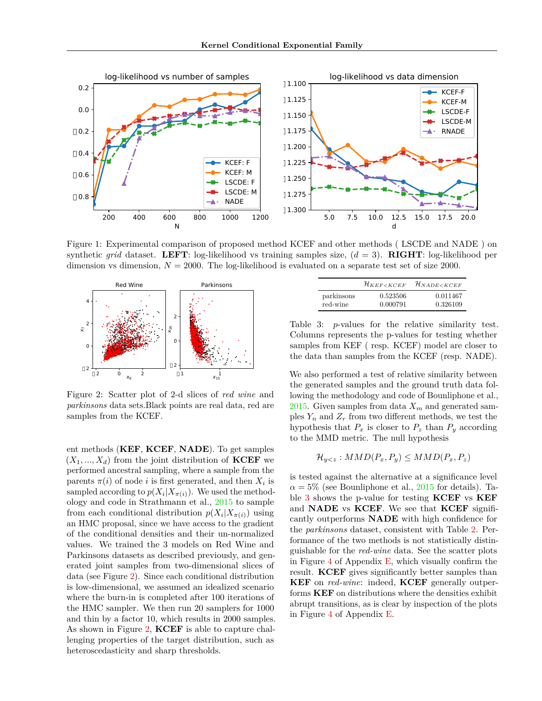

Figure 1: Experimental comparison of proposed method KCEF and other methods ( LSCDE and NADE ) on synthetic *grid* dataset. **LEFT**: log-likelihood vs training samples size, (*d* = 3). **RIGHT**: log-likelihood per dimension vs dimension,  $N = 2000$ . The log-likelihood is evaluated on a separate test set of size 2000.



Figure 2: Scatter plot of 2-d slices of *red wine* and *parkinsons* data sets.Black points are real data, red are samples from the KCEF.

ent methods (**KEF**, **KCEF**, **NADE**). To get samples  $(X_1, \ldots, X_d)$  from the joint distribution of **KCEF** we performed ancestral sampling, where a sample from the parents  $\pi(i)$  of node *i* is first generated, and then  $X_i$  is sampled according to  $p(X_i|X_{\pi(i)})$ . We used the methodology and code in Strathmann et al., 2015 to sample from each conditional distribution  $p(X_i|X_{\pi(i)})$  using an HMC proposal, since we have access to the gradient of the conditional densities and their un-normalized values. We trained the 3 models on Red Wine and Parkinsons datasets as described previously, and generated joint samples from two-dimensional slices of data (see Figure 2). Since each conditional distribution is low-dimensional, we assumed an idealized scenario where the burn-in is completed after 100 iterations of the HMC sampler. We then run 20 samplers for 1000 and thin by a factor 10, which results in 2000 samples. As shown in Figure 2, **KCEF** is able to capture challenging properties of the target distribution, such as heteroscedasticity and sharp thresholds.

|            | $\mathcal{H}_{KEF < KCEF}$ | $\mathcal{H}_{NADE < KCEF}$ |
|------------|----------------------------|-----------------------------|
| parkinsons | 0.523506                   | 0.011467                    |
| red-wine   | 0.000791                   | 0.326109                    |

Table 3: *p*-values for the relative similarity test. Columns represents the p-values for testing whether samples from KEF ( resp. KCEF) model are closer to the data than samples from the KCEF (resp. NADE).

We also performed a test of relative similarity between the generated samples and the ground truth data following the methodology and code of Bounliphone et al., 2015. Given samples from data  $X_m$  and generated samples  $Y_n$  and  $Z_r$  from two different methods, we test the hypothesis that  $P_x$  is closer to  $P_z$  than  $P_y$  according to the MMD metric. The null hypothesis

$$
\mathcal{H}_{y
$$

is tested against the alternative at a significance level  $\alpha = 5\%$  (see Bounliphone et al., 2015 for details). Table 3 shows the p-value for testing **KCEF** vs **KEF** and **NADE** vs **KCEF**. We see that **KCEF** significantly outperforms **NADE** with high confidence for the *parkinsons* dataset, consistent with Table 2. Performance of the two methods is not statistically distinguishable for the *red-wine* data. See the scatter plots in Figure 4 of Appendix E, which visually confirm the result. **KCEF** gives significantly better samples than **KEF** on *red-wine*: indeed, **KCEF** generally outperforms **KEF** on distributions where the densities exhibit abrupt transitions, as is clear by inspection of the plots in Figure 4 of Appendix E.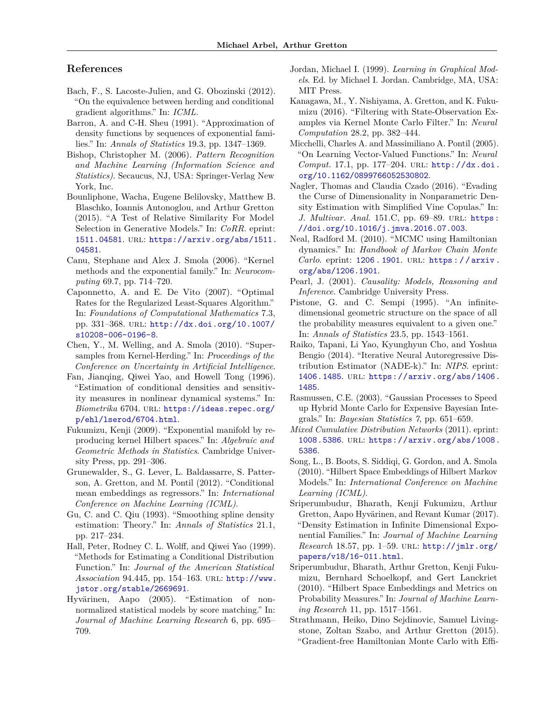# **References**

- Bach, F., S. Lacoste-Julien, and G. Obozinski (2012). "On the equivalence between herding and conditional gradient algorithms." In: *ICML*.
- Barron, A. and C-H. Sheu (1991). "Approximation of density functions by sequences of exponential families." In: *Annals of Statistics* 19.3, pp. 1347–1369.
- Bishop, Christopher M. (2006). *Pattern Recognition and Machine Learning (Information Science and Statistics)*. Secaucus, NJ, USA: Springer-Verlag New York, Inc.
- Bounliphone, Wacha, Eugene Belilovsky, Matthew B. Blaschko, Ioannis Antonoglou, and Arthur Gretton (2015). "A Test of Relative Similarity For Model Selection in Generative Models." In: *CoRR*. eprint: 1511.04581. url: https://arxiv.org/abs/1511. 04581.
- Canu, Stephane and Alex J. Smola (2006). "Kernel methods and the exponential family." In: *Neurocomputing* 69.7, pp. 714–720.
- Caponnetto, A. and E. De Vito (2007). "Optimal Rates for the Regularized Least-Squares Algorithm." In: *Foundations of Computational Mathematics* 7.3, pp. 331–368. url: http://dx.doi.org/10.1007/ s10208-006-0196-8.
- Chen, Y., M. Welling, and A. Smola (2010). "Supersamples from Kernel-Herding." In: *Proceedings of the Conference on Uncertainty in Artificial Intelligence*.
- Fan, Jianqing, Qiwei Yao, and Howell Tong (1996). "Estimation of conditional densities and sensitivity measures in nonlinear dynamical systems." In: *Biometrika* 6704. url: https://ideas.repec.org/ p/ehl/lserod/6704.html.
- Fukumizu, Kenji (2009). "Exponential manifold by reproducing kernel Hilbert spaces." In: *Algebraic and Geometric Methods in Statistics*. Cambridge University Press, pp. 291–306.
- Grunewalder, S., G. Lever, L. Baldassarre, S. Patterson, A. Gretton, and M. Pontil (2012). "Conditional mean embeddings as regressors." In: *International Conference on Machine Learning (ICML)*.
- Gu, C. and C. Qiu (1993). "Smoothing spline density estimation: Theory." In: *Annals of Statistics* 21.1, pp. 217–234.
- Hall, Peter, Rodney C. L. Wolff, and Qiwei Yao (1999). "Methods for Estimating a Conditional Distribution Function." In: *Journal of the American Statistical Association* 94.445, pp. 154–163. url: http://www. jstor.org/stable/2669691.
- Hyvärinen, Aapo (2005). "Estimation of nonnormalized statistical models by score matching." In: *Journal of Machine Learning Research* 6, pp. 695– 709.
- Jordan, Michael I. (1999). *Learning in Graphical Models*. Ed. by Michael I. Jordan. Cambridge, MA, USA: MIT Press.
- Kanagawa, M., Y. Nishiyama, A. Gretton, and K. Fukumizu (2016). "Filtering with State-Observation Examples via Kernel Monte Carlo Filter." In: *Neural Computation* 28.2, pp. 382–444.
- Micchelli, Charles A. and Massimiliano A. Pontil (2005). "On Learning Vector-Valued Functions." In: *Neural Comput.* 17.1, pp. 177–204. url: http://dx.doi. org/10.1162/0899766052530802.
- Nagler, Thomas and Claudia Czado (2016). "Evading the Curse of Dimensionality in Nonparametric Density Estimation with Simplified Vine Copulas." In: *J. Multivar. Anal.* 151.C, pp. 69-89. URL: https: //doi.org/10.1016/j.jmva.2016.07.003.
- Neal, Radford M. (2010). "MCMC using Hamiltonian dynamics." In: *Handbook of Markov Chain Monte Carlo.* eprint: 1206.1901. URL: https://arxiv. org/abs/1206.1901.
- Pearl, J. (2001). *Causality: Models, Reasoning and Inference*. Cambridge University Press.
- Pistone, G. and C. Sempi (1995). "An infinitedimensional geometric structure on the space of all the probability measures equivalent to a given one." In: *Annals of Statistics* 23.5, pp. 1543–1561.
- Raiko, Tapani, Li Yao, Kyunghyun Cho, and Yoshua Bengio (2014). "Iterative Neural Autoregressive Distribution Estimator (NADE-k)." In: *NIPS*. eprint: 1406.1485. url: https://arxiv.org/abs/1406. 1485.
- Rasmussen, C.E. (2003). "Gaussian Processes to Speed up Hybrid Monte Carlo for Expensive Bayesian Integrals." In: *Bayesian Statistics 7*, pp. 651–659.
- *Mixed Cumulative Distribution Networks* (2011). eprint: 1008.5386. url: https://arxiv.org/abs/1008. 5386.
- Song, L., B. Boots, S. Siddiqi, G. Gordon, and A. Smola (2010). "Hilbert Space Embeddings of Hilbert Markov Models." In: *International Conference on Machine Learning (ICML)*.
- Sriperumbudur, Bharath, Kenji Fukumizu, Arthur Gretton, Aapo Hyvärinen, and Revant Kumar (2017). "Density Estimation in Infinite Dimensional Exponential Families." In: *Journal of Machine Learning Research* 18.57, pp. 1–59. url: http://jmlr.org/ papers/v18/16-011.html.
- Sriperumbudur, Bharath, Arthur Gretton, Kenji Fukumizu, Bernhard Schoelkopf, and Gert Lanckriet (2010). "Hilbert Space Embeddings and Metrics on Probability Measures." In: *Journal of Machine Learning Research* 11, pp. 1517–1561.
- Strathmann, Heiko, Dino Sejdinovic, Samuel Livingstone, Zoltan Szabo, and Arthur Gretton (2015). "Gradient-free Hamiltonian Monte Carlo with Effi-